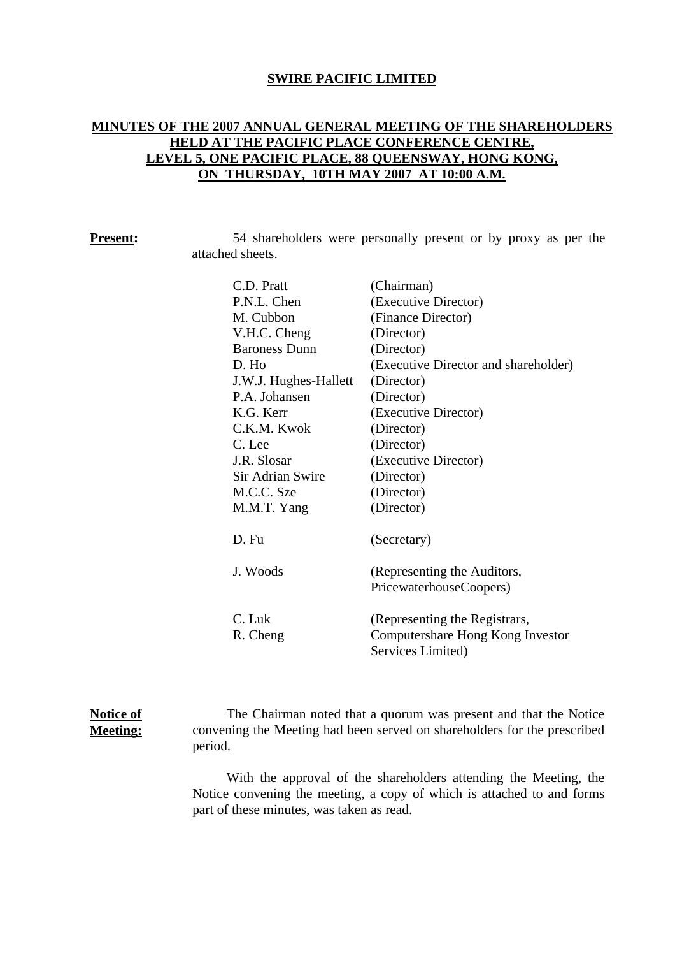### **SWIRE PACIFIC LIMITED**

# **MINUTES OF THE 2007 ANNUAL GENERAL MEETING OF THE SHAREHOLDERS HELD AT THE PACIFIC PLACE CONFERENCE CENTRE, LEVEL 5, ONE PACIFIC PLACE, 88 QUEENSWAY, HONG KONG, ON THURSDAY, 10TH MAY 2007 AT 10:00 A.M.**

| Present: |
|----------|
|----------|

54 shareholders were personally present or by proxy as per the attached sheets.

| C.D. Pratt            | (Chairman)                           |
|-----------------------|--------------------------------------|
| P.N.L. Chen           | (Executive Director)                 |
| M. Cubbon             | (Finance Director)                   |
| V.H.C. Cheng          | (Director)                           |
| <b>Baroness Dunn</b>  | (Director)                           |
| D. Ho                 | (Executive Director and shareholder) |
| J.W.J. Hughes-Hallett | (Director)                           |
| P.A. Johansen         | (Director)                           |
| K.G. Kerr             | (Executive Director)                 |
| C.K.M. Kwok           | (Director)                           |
| C. Lee                | (Director)                           |
| J.R. Slosar           | (Executive Director)                 |
| Sir Adrian Swire      | (Director)                           |
| M.C.C. Sze            | (Director)                           |
| M.M.T. Yang           | (Director)                           |
|                       |                                      |
| D. Fu                 | (Secretary)                          |
| J. Woods              | (Representing the Auditors,          |
|                       | PricewaterhouseCoopers)              |
|                       |                                      |
| C. Luk                | (Representing the Registrars,        |
| R. Cheng              | Computershare Hong Kong Investor     |
|                       | Services Limited)                    |

### **Notice of Meeting:**

The Chairman noted that a quorum was present and that the Notice convening the Meeting had been served on shareholders for the prescribed period.

With the approval of the shareholders attending the Meeting, the Notice convening the meeting, a copy of which is attached to and forms part of these minutes, was taken as read.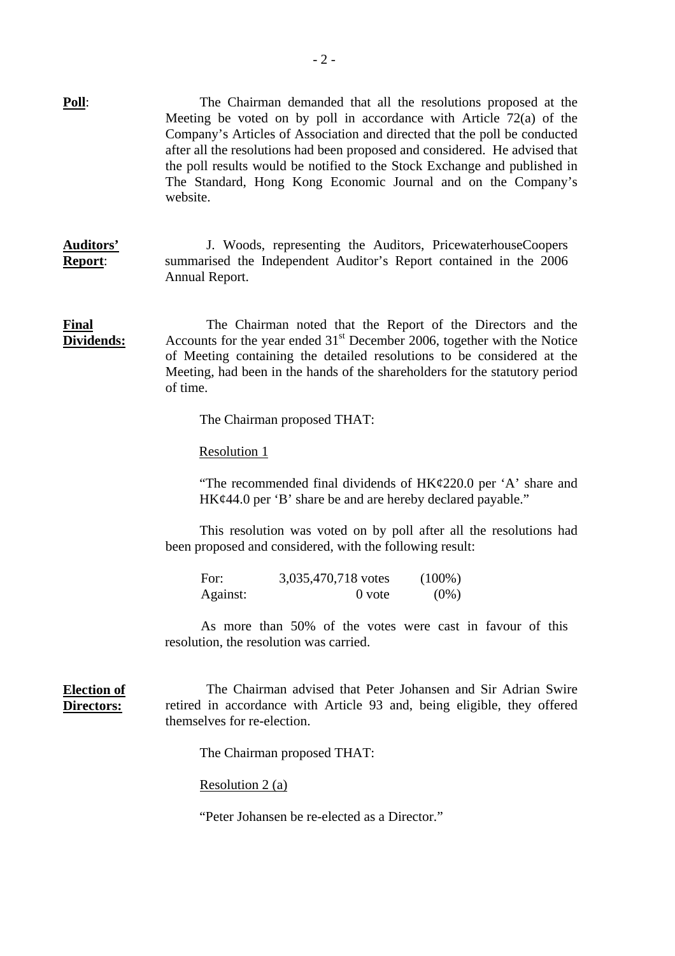|                                  | Meeting be voted on by poll in accordance with Article $72(a)$ of the<br>Company's Articles of Association and directed that the poll be conducted<br>after all the resolutions had been proposed and considered. He advised that<br>the poll results would be notified to the Stock Exchange and published in<br>The Standard, Hong Kong Economic Journal and on the Company's<br>website. |
|----------------------------------|---------------------------------------------------------------------------------------------------------------------------------------------------------------------------------------------------------------------------------------------------------------------------------------------------------------------------------------------------------------------------------------------|
| <b>Auditors'</b><br>Report:      | J. Woods, representing the Auditors, PricewaterhouseCoopers<br>summarised the Independent Auditor's Report contained in the 2006<br>Annual Report.                                                                                                                                                                                                                                          |
| <b>Final</b><br>Dividends:       | The Chairman noted that the Report of the Directors and the<br>Accounts for the year ended $31st$ December 2006, together with the Notice<br>of Meeting containing the detailed resolutions to be considered at the<br>Meeting, had been in the hands of the shareholders for the statutory period<br>of time.                                                                              |
|                                  | The Chairman proposed THAT:                                                                                                                                                                                                                                                                                                                                                                 |
|                                  | Resolution 1                                                                                                                                                                                                                                                                                                                                                                                |
|                                  | "The recommended final dividends of $HK\epsilon/220.0$ per 'A' share and<br>HK¢44.0 per 'B' share be and are hereby declared payable."                                                                                                                                                                                                                                                      |
|                                  | This resolution was voted on by poll after all the resolutions had<br>been proposed and considered, with the following result:                                                                                                                                                                                                                                                              |
|                                  | For:<br>3,035,470,718 votes<br>$(100\%)$<br>$0$ vote<br>$(0\%)$<br>Against:                                                                                                                                                                                                                                                                                                                 |
|                                  | As more than 50% of the votes were cast in favour of this<br>resolution, the resolution was carried.                                                                                                                                                                                                                                                                                        |
| <b>Election of</b><br>Directors: | The Chairman advised that Peter Johansen and Sir Adrian Swire<br>retired in accordance with Article 93 and, being eligible, they offered<br>themselves for re-election.                                                                                                                                                                                                                     |
|                                  | The Chairman proposed THAT:                                                                                                                                                                                                                                                                                                                                                                 |
|                                  | Resolution 2 (a)                                                                                                                                                                                                                                                                                                                                                                            |
|                                  | "Peter Johansen be re-elected as a Director."                                                                                                                                                                                                                                                                                                                                               |
|                                  |                                                                                                                                                                                                                                                                                                                                                                                             |

**Poll**: The Chairman demanded that all the resolutions proposed at the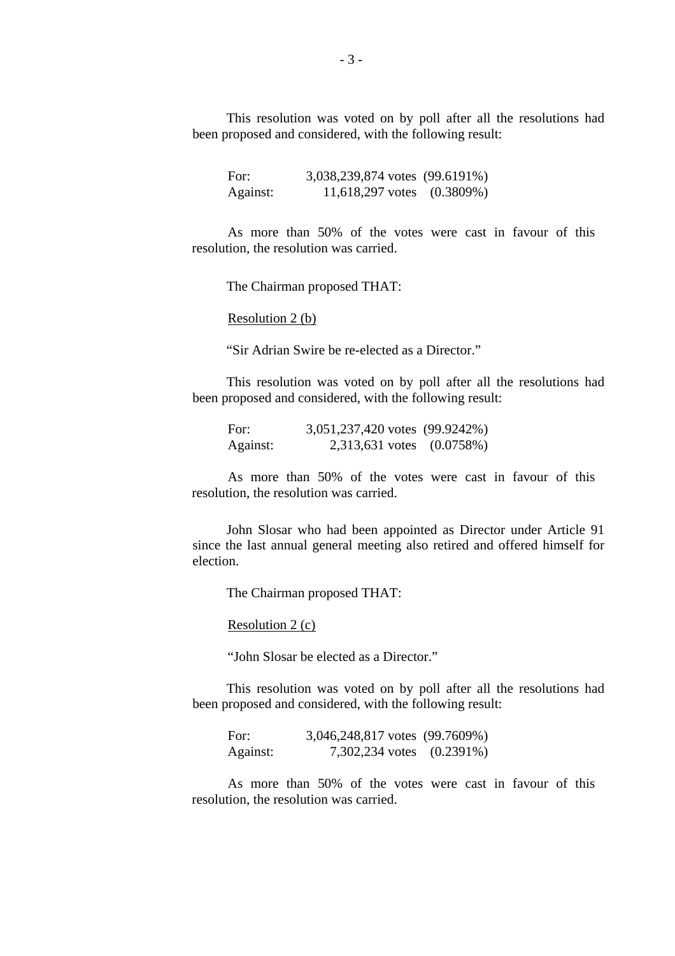This resolution was voted on by poll after all the resolutions had been proposed and considered, with the following result:

For: 3,038,239,874 votes (99.6191%) Against: 11,618,297 votes (0.3809%)

As more than 50% of the votes were cast in favour of this resolution, the resolution was carried.

The Chairman proposed THAT:

Resolution 2 (b)

"Sir Adrian Swire be re-elected as a Director."

This resolution was voted on by poll after all the resolutions had been proposed and considered, with the following result:

| For:     | 3,051,237,420 votes (99.9242%) |  |
|----------|--------------------------------|--|
| Against: | 2,313,631 votes (0.0758%)      |  |

As more than 50% of the votes were cast in favour of this resolution, the resolution was carried.

John Slosar who had been appointed as Director under Article 91 since the last annual general meeting also retired and offered himself for election.

The Chairman proposed THAT:

Resolution 2 (c)

"John Slosar be elected as a Director."

This resolution was voted on by poll after all the resolutions had been proposed and considered, with the following result:

| For:     | 3,046,248,817 votes (99.7609%) |  |
|----------|--------------------------------|--|
| Against: | 7,302,234 votes (0.2391%)      |  |

As more than 50% of the votes were cast in favour of this resolution, the resolution was carried.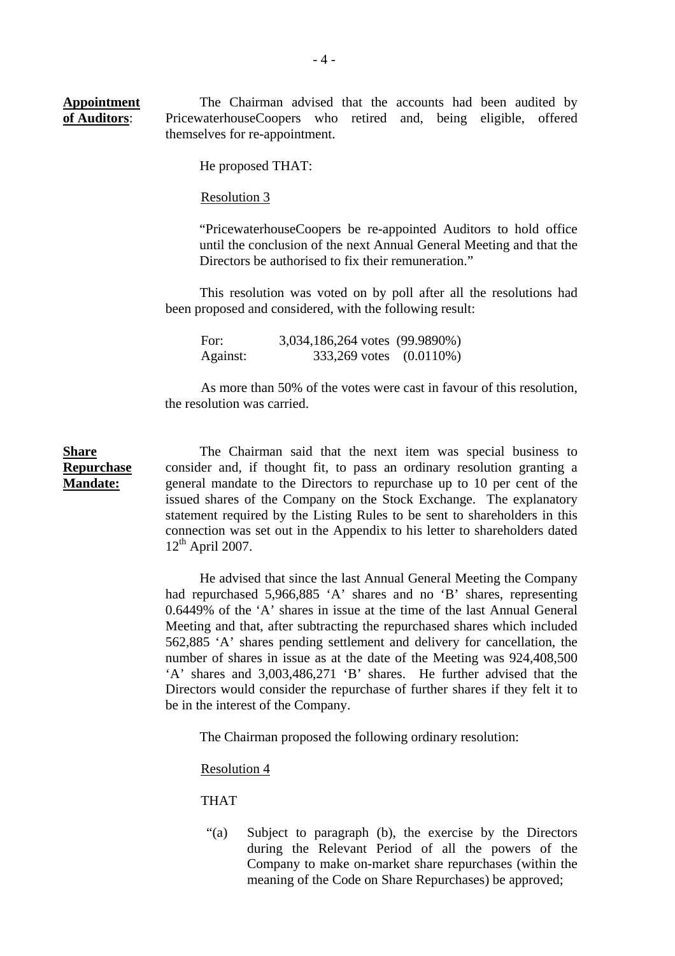**Appointment of Auditors**: The Chairman advised that the accounts had been audited by PricewaterhouseCoopers who retired and, being eligible, offered themselves for re-appointment.

He proposed THAT:

Resolution 3

 "PricewaterhouseCoopers be re-appointed Auditors to hold office until the conclusion of the next Annual General Meeting and that the Directors be authorised to fix their remuneration."

This resolution was voted on by poll after all the resolutions had been proposed and considered, with the following result:

| For:     | 3,034,186,264 votes (99.9890%) |  |
|----------|--------------------------------|--|
| Against: | 333,269 votes (0.0110%)        |  |

As more than 50% of the votes were cast in favour of this resolution, the resolution was carried.

### **Share Repurchase Mandate:**

The Chairman said that the next item was special business to consider and, if thought fit, to pass an ordinary resolution granting a general mandate to the Directors to repurchase up to 10 per cent of the issued shares of the Company on the Stock Exchange. The explanatory statement required by the Listing Rules to be sent to shareholders in this connection was set out in the Appendix to his letter to shareholders dated  $12^{th}$  April 2007.

He advised that since the last Annual General Meeting the Company had repurchased 5,966,885 'A' shares and no 'B' shares, representing 0.6449% of the 'A' shares in issue at the time of the last Annual General Meeting and that, after subtracting the repurchased shares which included 562,885 'A' shares pending settlement and delivery for cancellation, the number of shares in issue as at the date of the Meeting was 924,408,500 'A' shares and 3,003,486,271 'B' shares. He further advised that the Directors would consider the repurchase of further shares if they felt it to be in the interest of the Company.

The Chairman proposed the following ordinary resolution:

Resolution 4

THAT

"(a) Subject to paragraph (b), the exercise by the Directors during the Relevant Period of all the powers of the Company to make on-market share repurchases (within the meaning of the Code on Share Repurchases) be approved;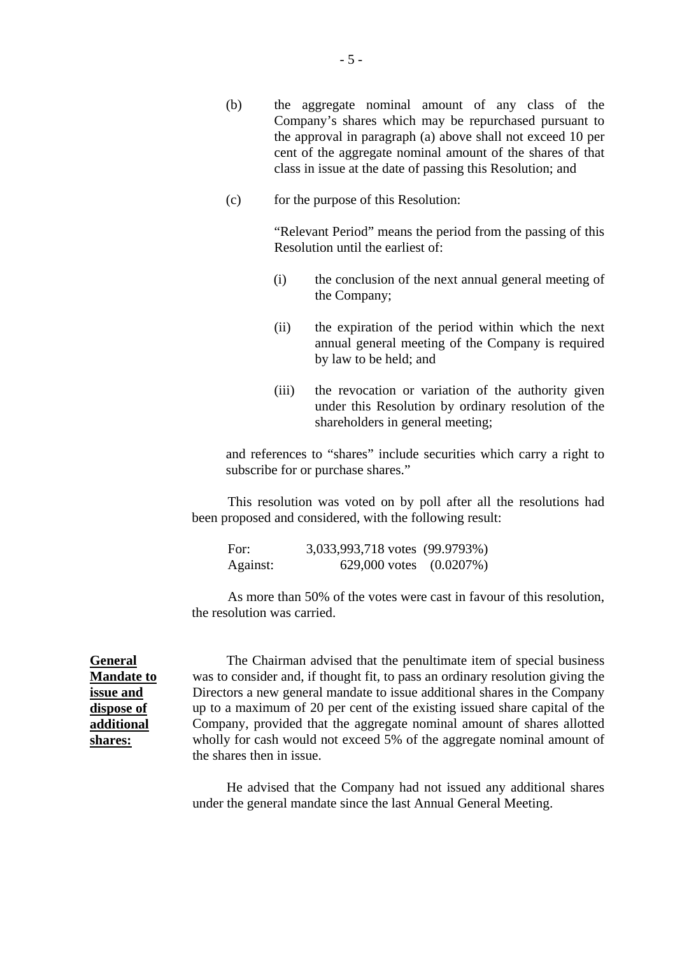- (b) the aggregate nominal amount of any class of the Company's shares which may be repurchased pursuant to the approval in paragraph (a) above shall not exceed 10 per cent of the aggregate nominal amount of the shares of that class in issue at the date of passing this Resolution; and
- (c) for the purpose of this Resolution:

 "Relevant Period" means the period from the passing of this Resolution until the earliest of:

- (i) the conclusion of the next annual general meeting of the Company;
- (ii) the expiration of the period within which the next annual general meeting of the Company is required by law to be held; and
- (iii) the revocation or variation of the authority given under this Resolution by ordinary resolution of the shareholders in general meeting;

and references to "shares" include securities which carry a right to subscribe for or purchase shares."

This resolution was voted on by poll after all the resolutions had been proposed and considered, with the following result:

| For:     | 3,033,993,718 votes (99.9793%) |  |
|----------|--------------------------------|--|
| Against: | 629,000 votes $(0.0207\%)$     |  |

As more than 50% of the votes were cast in favour of this resolution, the resolution was carried.

**General Mandate to issue and dispose of additional shares:**

The Chairman advised that the penultimate item of special business was to consider and, if thought fit, to pass an ordinary resolution giving the Directors a new general mandate to issue additional shares in the Company up to a maximum of 20 per cent of the existing issued share capital of the Company, provided that the aggregate nominal amount of shares allotted wholly for cash would not exceed 5% of the aggregate nominal amount of the shares then in issue.

He advised that the Company had not issued any additional shares under the general mandate since the last Annual General Meeting.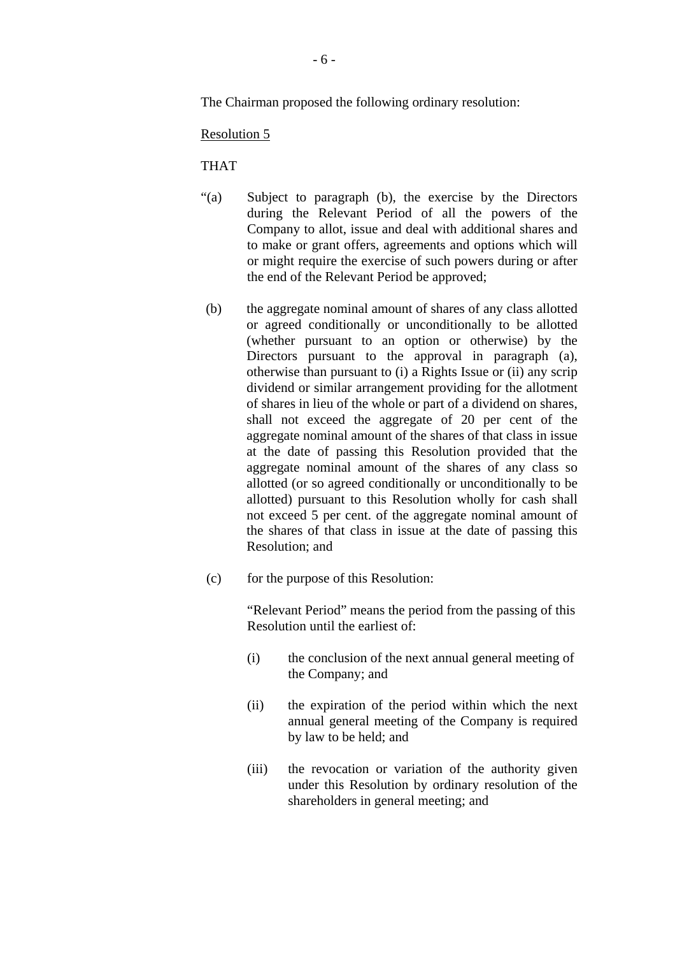The Chairman proposed the following ordinary resolution:

### Resolution 5

### THAT

- "(a) Subject to paragraph (b), the exercise by the Directors during the Relevant Period of all the powers of the Company to allot, issue and deal with additional shares and to make or grant offers, agreements and options which will or might require the exercise of such powers during or after the end of the Relevant Period be approved;
- (b) the aggregate nominal amount of shares of any class allotted or agreed conditionally or unconditionally to be allotted (whether pursuant to an option or otherwise) by the Directors pursuant to the approval in paragraph (a), otherwise than pursuant to (i) a Rights Issue or (ii) any scrip dividend or similar arrangement providing for the allotment of shares in lieu of the whole or part of a dividend on shares, shall not exceed the aggregate of 20 per cent of the aggregate nominal amount of the shares of that class in issue at the date of passing this Resolution provided that the aggregate nominal amount of the shares of any class so allotted (or so agreed conditionally or unconditionally to be allotted) pursuant to this Resolution wholly for cash shall not exceed 5 per cent. of the aggregate nominal amount of the shares of that class in issue at the date of passing this Resolution; and
- (c) for the purpose of this Resolution:

"Relevant Period" means the period from the passing of this Resolution until the earliest of:

- (i) the conclusion of the next annual general meeting of the Company; and
- (ii) the expiration of the period within which the next annual general meeting of the Company is required by law to be held; and
- (iii) the revocation or variation of the authority given under this Resolution by ordinary resolution of the shareholders in general meeting; and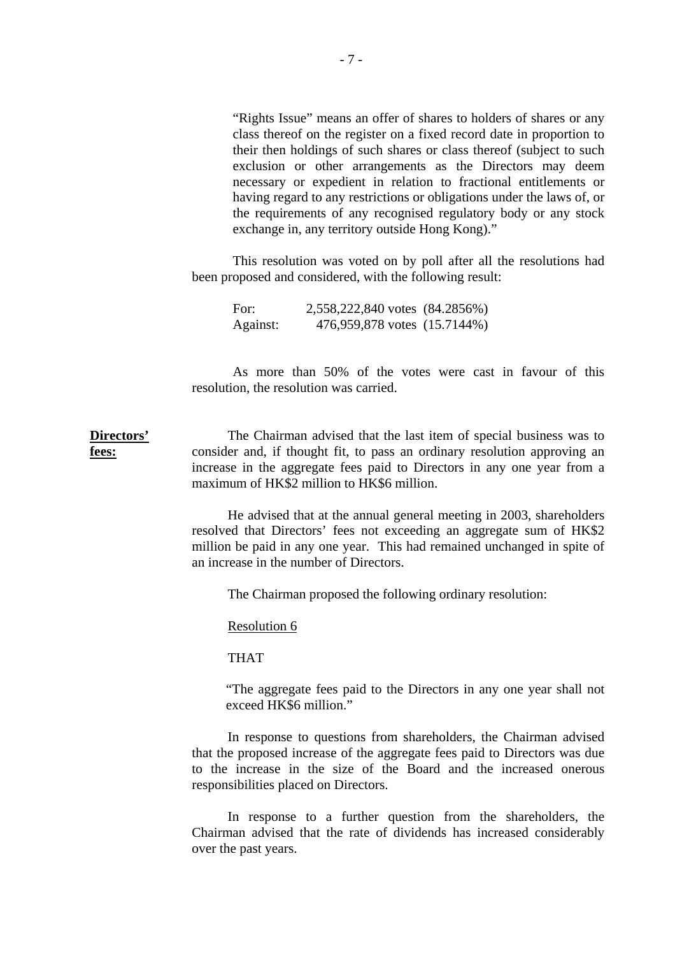"Rights Issue" means an offer of shares to holders of shares or any class thereof on the register on a fixed record date in proportion to their then holdings of such shares or class thereof (subject to such exclusion or other arrangements as the Directors may deem necessary or expedient in relation to fractional entitlements or having regard to any restrictions or obligations under the laws of, or the requirements of any recognised regulatory body or any stock exchange in, any territory outside Hong Kong)."

This resolution was voted on by poll after all the resolutions had been proposed and considered, with the following result:

| For:     | 2,558,222,840 votes (84.2856%) |  |
|----------|--------------------------------|--|
| Against: | 476,959,878 votes (15.7144%)   |  |

As more than 50% of the votes were cast in favour of this resolution, the resolution was carried.

**Directors' fees:** The Chairman advised that the last item of special business was to consider and, if thought fit, to pass an ordinary resolution approving an increase in the aggregate fees paid to Directors in any one year from a maximum of HK\$2 million to HK\$6 million.

> He advised that at the annual general meeting in 2003, shareholders resolved that Directors' fees not exceeding an aggregate sum of HK\$2 million be paid in any one year. This had remained unchanged in spite of an increase in the number of Directors.

The Chairman proposed the following ordinary resolution:

Resolution 6

THAT

"The aggregate fees paid to the Directors in any one year shall not exceed HK\$6 million."

In response to questions from shareholders, the Chairman advised that the proposed increase of the aggregate fees paid to Directors was due to the increase in the size of the Board and the increased onerous responsibilities placed on Directors.

In response to a further question from the shareholders, the Chairman advised that the rate of dividends has increased considerably over the past years.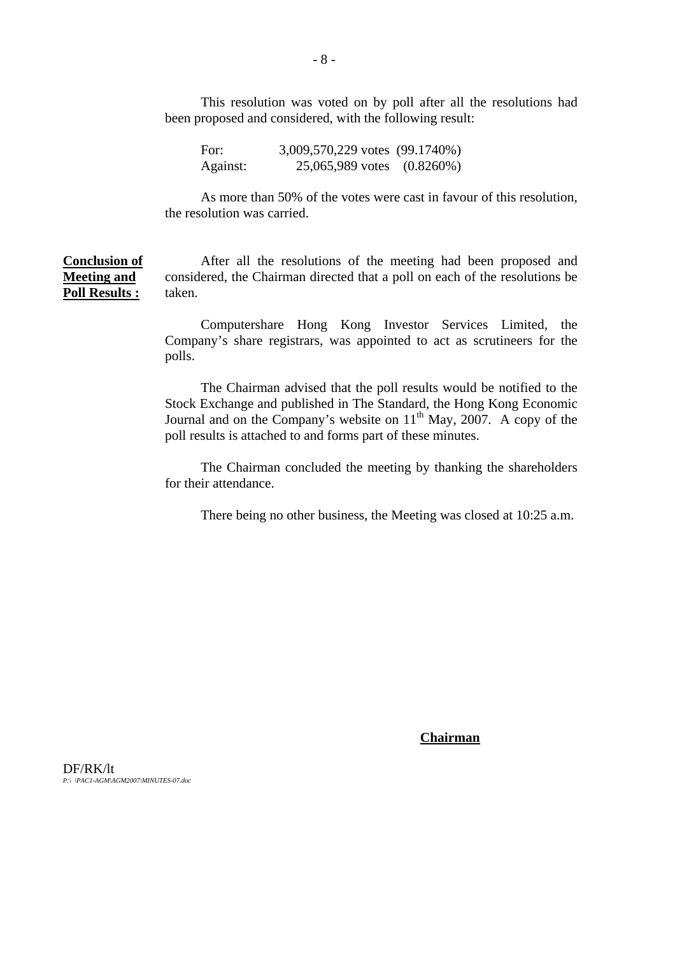This resolution was voted on by poll after all the resolutions had been proposed and considered, with the following result:

| For:     | 3,009,570,229 votes (99.1740%) |  |
|----------|--------------------------------|--|
| Against: | 25,065,989 votes (0.8260%)     |  |

As more than 50% of the votes were cast in favour of this resolution, the resolution was carried.

**Conclusion of Meeting and Poll Results :** After all the resolutions of the meeting had been proposed and considered, the Chairman directed that a poll on each of the resolutions be taken.

> Computershare Hong Kong Investor Services Limited, the Company's share registrars, was appointed to act as scrutineers for the polls.

> The Chairman advised that the poll results would be notified to the Stock Exchange and published in The Standard, the Hong Kong Economic Journal and on the Company's website on  $11<sup>th</sup>$  May, 2007. A copy of the poll results is attached to and forms part of these minutes.

> The Chairman concluded the meeting by thanking the shareholders for their attendance.

There being no other business, the Meeting was closed at 10:25 a.m.